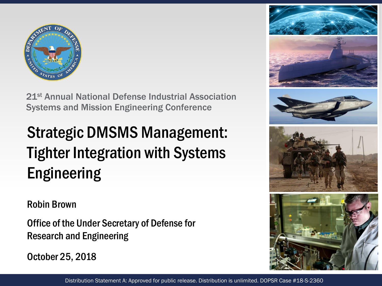

21st Annual National Defense Industrial Association Systems and Mission Engineering Conference

### Strategic DMSMS Management: Tighter Integration with Systems Engineering

#### Robin Brown

Office of the Under Secretary of Defense for Research and Engineering

October 25, 2018

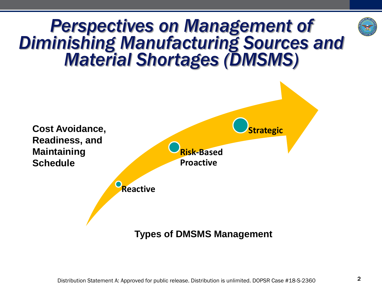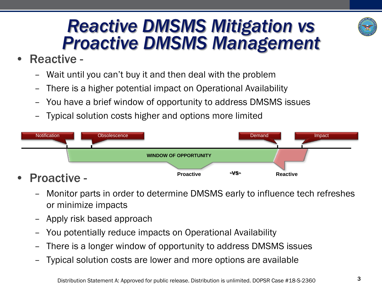#### *Reactive DMSMS Mitigation vs Proactive DMSMS Management*

- Reactive
	- Wait until you can't buy it and then deal with the problem
	- There is a higher potential impact on Operational Availability
	- You have a brief window of opportunity to address DMSMS issues
	- Typical solution costs higher and options more limited



- Monitor parts in order to determine DMSMS early to influence tech refreshes or minimize impacts
- Apply risk based approach
- You potentially reduce impacts on Operational Availability
- There is a longer window of opportunity to address DMSMS issues
- Typical solution costs are lower and more options are available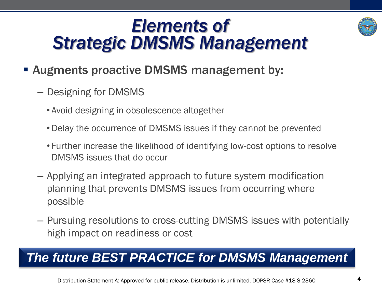### *Elements of Strategic DMSMS Management*



#### ■ Augments proactive DMSMS management by:

- Designing for DMSMS
	- Avoid designing in obsolescence altogether
	- •Delay the occurrence of DMSMS issues if they cannot be prevented
	- Further increase the likelihood of identifying low-cost options to resolve DMSMS issues that do occur
- Applying an integrated approach to future system modification planning that prevents DMSMS issues from occurring where possible
- Pursuing resolutions to cross-cutting DMSMS issues with potentially high impact on readiness or cost

#### *The future BEST PRACTICE for DMSMS Management*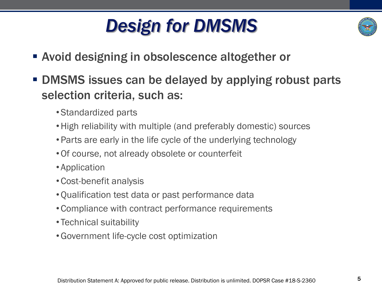## *Design for DMSMS*



- **EXECT:** Avoid designing in obsolescence altogether or
- **DMSMS issues can be delayed by applying robust parts** selection criteria, such as:
	- •Standardized parts
	- •High reliability with multiple (and preferably domestic) sources
	- •Parts are early in the life cycle of the underlying technology
	- •Of course, not already obsolete or counterfeit
	- Application
	- •Cost-benefit analysis
	- •Qualification test data or past performance data
	- •Compliance with contract performance requirements
	- Technical suitability
	- •Government life-cycle cost optimization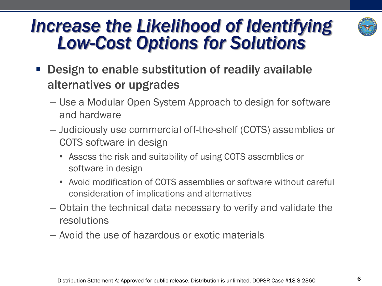#### *Increase the Likelihood of Identifying Low-Cost Options for Solutions*



- **Design to enable substitution of readily available** alternatives or upgrades
	- Use a Modular Open System Approach to design for software and hardware
	- Judiciously use commercial off-the-shelf (COTS) assemblies or COTS software in design
		- Assess the risk and suitability of using COTS assemblies or software in design
		- Avoid modification of COTS assemblies or software without careful consideration of implications and alternatives
	- Obtain the technical data necessary to verify and validate the resolutions
	- Avoid the use of hazardous or exotic materials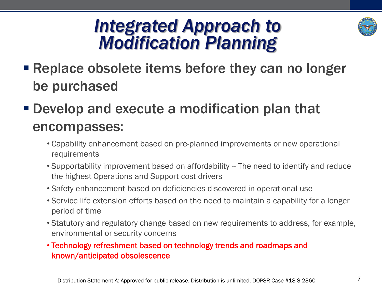#### *Integrated Approach to Modification Planning*



- Replace obsolete items before they can no longer be purchased
- Develop and execute a modification plan that encompasses:
	- Capability enhancement based on pre-planned improvements or new operational requirements
	- Supportability improvement based on affordability -- The need to identify and reduce the highest Operations and Support cost drivers
	- Safety enhancement based on deficiencies discovered in operational use
	- Service life extension efforts based on the need to maintain a capability for a longer period of time
	- Statutory and regulatory change based on new requirements to address, for example, environmental or security concerns
	- Technology refreshment based on technology trends and roadmaps and known/anticipated obsolescence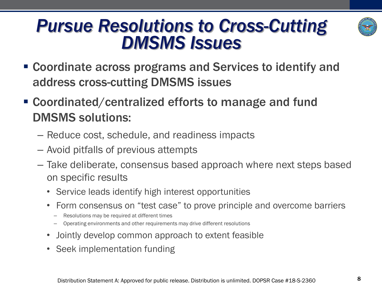# *Pursue Resolutions to Cross-Cutting*

▪ Coordinate across programs and Services to identify and address cross-cutting DMSMS issues

*DMSMS Issues* 

- Coordinated/centralized efforts to manage and fund DMSMS solutions:
	- Reduce cost, schedule, and readiness impacts
	- Avoid pitfalls of previous attempts
	- Take deliberate, consensus based approach where next steps based on specific results
		- Service leads identify high interest opportunities
		- Form consensus on "test case" to prove principle and overcome barriers
			- Resolutions may be required at different times
			- Operating environments and other requirements may drive different resolutions
		- Jointly develop common approach to extent feasible
		- Seek implementation funding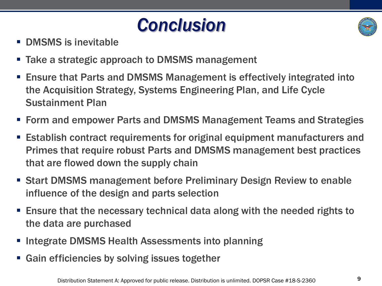



- DMSMS is inevitable
- Take a strategic approach to DMSMS management
- Ensure that Parts and DMSMS Management is effectively integrated into the Acquisition Strategy, Systems Engineering Plan, and Life Cycle Sustainment Plan
- Form and empower Parts and DMSMS Management Teams and Strategies
- **Establish contract requirements for original equipment manufacturers and** Primes that require robust Parts and DMSMS management best practices that are flowed down the supply chain
- Start DMSMS management before Preliminary Design Review to enable influence of the design and parts selection
- Ensure that the necessary technical data along with the needed rights to the data are purchased
- Integrate DMSMS Health Assessments into planning
- Gain efficiencies by solving issues together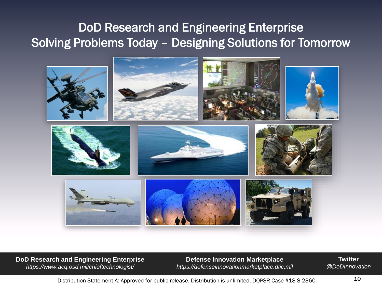#### DoD Research and Engineering Enterprise Solving Problems Today – Designing Solutions for Tomorrow



**DoD Research and Engineering Enterprise**  *https://www.acq.osd.mil/chieftechnologist/*

**Defense Innovation Marketplace** *https://defenseinnovationmarketplace.dtic.mil*

**Twitter** *@DoDInnovation*

Distribution Statement A: Approved for public release. Distribution is unlimited. DOPSR Case #18-S-2360  $\,$